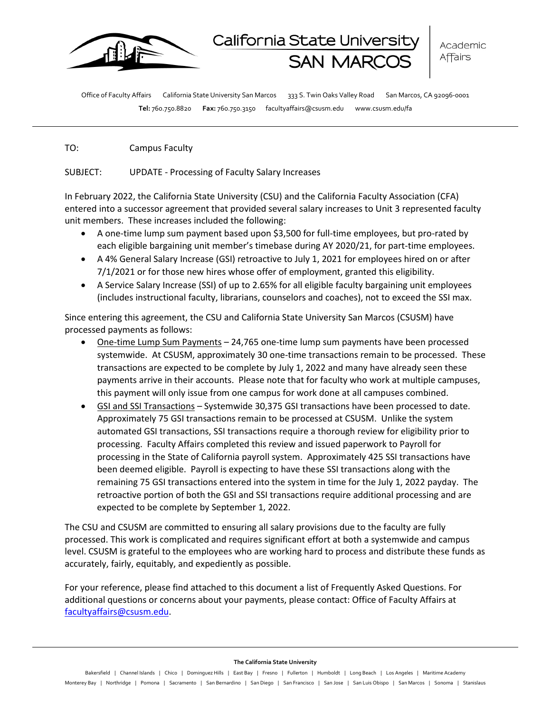

Office of Faculty Affairs California State University San Marcos 333 S. Twin Oaks Valley Road San Marcos, CA 92096-0001 **Tel:** 760.750.8820 **Fax:** 760.750.3150 facultyaffairs@csusm.edu www.csusm.edu/fa

TO: Campus Faculty

SUBJECT: UPDATE - Processing of Faculty Salary Increases

In February 2022, the California State University (CSU) and the California Faculty Association (CFA) entered into a successor agreement that provided several salary increases to Unit 3 represented faculty unit members. These increases included the following:

- A one-time lump sum payment based upon \$3,500 for full-time employees, but pro-rated by each eligible bargaining unit member's timebase during AY 2020/21, for part-time employees.
- A 4% General Salary Increase (GSI) retroactive to July 1, 2021 for employees hired on or after 7/1/2021 or for those new hires whose offer of employment, granted this eligibility.
- A Service Salary Increase (SSI) of up to 2.65% for all eligible faculty bargaining unit employees (includes instructional faculty, librarians, counselors and coaches), not to exceed the SSI max.

Since entering this agreement, the CSU and California State University San Marcos (CSUSM) have processed payments as follows:

- One-time Lump Sum Payments 24,765 one-time lump sum payments have been processed systemwide. At CSUSM, approximately 30 one-time transactions remain to be processed. These transactions are expected to be complete by July 1, 2022 and many have already seen these payments arrive in their accounts. Please note that for faculty who work at multiple campuses, this payment will only issue from one campus for work done at all campuses combined.
- GSI and SSI Transactions Systemwide 30,375 GSI transactions have been processed to date. Approximately 75 GSI transactions remain to be processed at CSUSM. Unlike the system automated GSI transactions, SSI transactions require a thorough review for eligibility prior to processing. Faculty Affairs completed this review and issued paperwork to Payroll for processing in the State of California payroll system. Approximately 425 SSI transactions have been deemed eligible. Payroll is expecting to have these SSI transactions along with the remaining 75 GSI transactions entered into the system in time for the July 1, 2022 payday. The retroactive portion of both the GSI and SSI transactions require additional processing and are expected to be complete by September 1, 2022.

The CSU and CSUSM are committed to ensuring all salary provisions due to the faculty are fully processed. This work is complicated and requires significant effort at both a systemwide and campus level. CSUSM is grateful to the employees who are working hard to process and distribute these funds as accurately, fairly, equitably, and expediently as possible.

For your reference, please find attached to this document a list of Frequently Asked Questions. For additional questions or concerns about your payments, please contact: Office of Faculty Affairs at [facultyaffairs@csusm.edu.](mailto:facultyaffairs@csusm.edu)

#### **The California State University**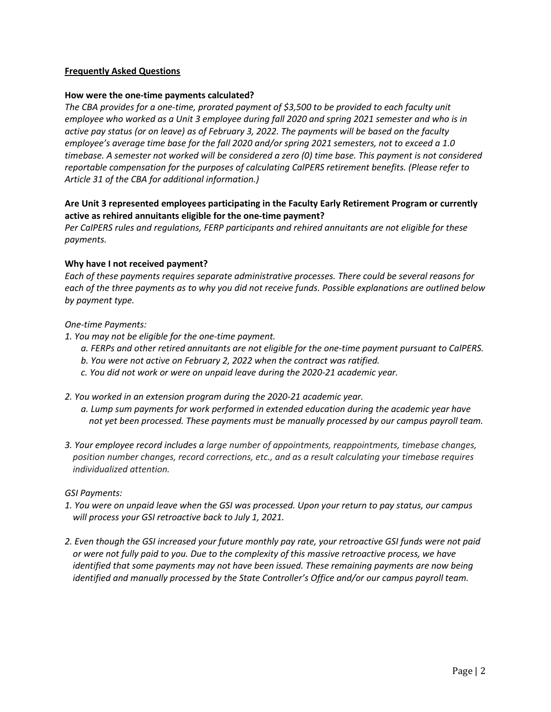## **Frequently Asked Questions**

### **How were the one-time payments calculated?**

*The CBA provides for a one-time, prorated payment of \$3,500 to be provided to each faculty unit employee who worked as a Unit 3 employee during fall 2020 and spring 2021 semester and who is in active pay status (or on leave) as of February 3, 2022. The payments will be based on the faculty employee's average time base for the fall 2020 and/or spring 2021 semesters, not to exceed a 1.0 timebase. A semester not worked will be considered a zero (0) time base. This payment is not considered reportable compensation for the purposes of calculating CalPERS retirement benefits. (Please refer to Article 31 of the CBA for additional information.)* 

# **Are Unit 3 represented employees participating in the Faculty Early Retirement Program or currently active as rehired annuitants eligible for the one-time payment?**

*Per CalPERS rules and regulations, FERP participants and rehired annuitants are not eligible for these payments.* 

#### **Why have I not received payment?**

*Each of these payments requires separate administrative processes. There could be several reasons for each of the three payments as to why you did not receive funds. Possible explanations are outlined below by payment type.* 

#### *One-time Payments:*

- *1. You may not be eligible for the one-time payment.* 
	- *a. FERPs and other retired annuitants are not eligible for the one-time payment pursuant to CalPERS.*
	- *b. You were not active on February 2, 2022 when the contract was ratified.*
	- *c. You did not work or were on unpaid leave during the 2020-21 academic year.*
- *2. You worked in an extension program during the 2020-21 academic year.* 
	- *a. Lump sum payments for work performed in extended education during the academic year have not yet been processed. These payments must be manually processed by our campus payroll team.*
- *3. Your employee record includes a large number of appointments, reappointments, timebase changes, position number changes, record corrections, etc., and as a result calculating your timebase requires individualized attention.*

#### *GSI Payments:*

- *1. You were on unpaid leave when the GSI was processed. Upon your return to pay status, our campus will process your GSI retroactive back to July 1, 2021.*
- *2. Even though the GSI increased your future monthly pay rate, your retroactive GSI funds were not paid or were not fully paid to you. Due to the complexity of this massive retroactive process, we have identified that some payments may not have been issued. These remaining payments are now being identified and manually processed by the State Controller's Office and/or our campus payroll team.*